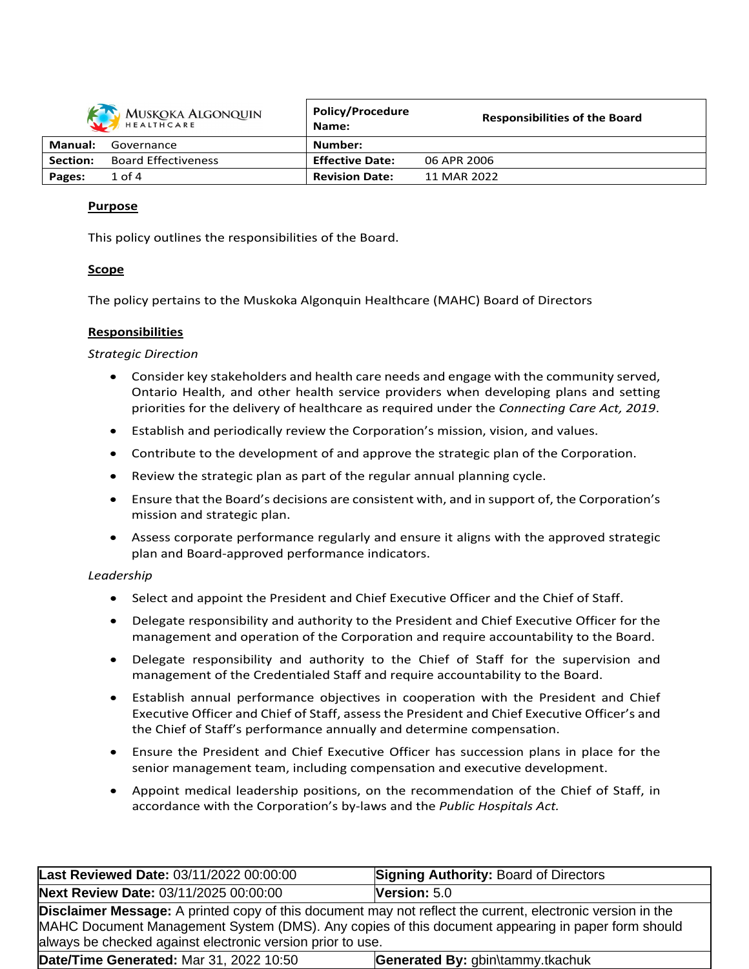| <b>AN</b> MUSKOKA ALGONQUIN |
|-----------------------------|
| <b>HEALTHCARE</b>           |

|          | HEALTHCARE                 | Name:                  | <b>Responsibilities of the board</b> |
|----------|----------------------------|------------------------|--------------------------------------|
| Manual:  | Governance                 | Number:                |                                      |
| Section: | <b>Board Effectiveness</b> | <b>Effective Date:</b> | 06 APR 2006                          |
| Pages:   | $1$ of $4$                 | <b>Revision Date:</b>  | 11 MAR 2022                          |

**Responsibilities of the Board**

**Policy/Procedure**

# **Purpose**

This policy outlines the responsibilities of the Board.

# **Scope**

The policy pertains to the Muskoka Algonquin Healthcare (MAHC) Board of Directors

## **Responsibilities**

## *Strategic Direction*

- Consider key stakeholders and health care needs and engage with the community served, Ontario Health, and other health service providers when developing plans and setting priorities for the delivery of healthcare as required under the *Connecting Care Act, 2019*.
- Establish and periodically review the Corporation's mission, vision, and values.
- Contribute to the development of and approve the strategic plan of the Corporation.
- Review the strategic plan as part of the regular annual planning cycle.
- Ensure that the Board's decisions are consistent with, and in support of, the Corporation's mission and strategic plan.
- Assess corporate performance regularly and ensure it aligns with the approved strategic plan and Board-approved performance indicators.

# *Leadership*

- Select and appoint the President and Chief Executive Officer and the Chief of Staff.
- Delegate responsibility and authority to the President and Chief Executive Officer for the management and operation of the Corporation and require accountability to the Board.
- Delegate responsibility and authority to the Chief of Staff for the supervision and management of the Credentialed Staff and require accountability to the Board.
- Establish annual performance objectives in cooperation with the President and Chief Executive Officer and Chief of Staff, assess the President and Chief Executive Officer's and the Chief of Staff's performance annually and determine compensation.
- Ensure the President and Chief Executive Officer has succession plans in place for the senior management team, including compensation and executive development.
- Appoint medical leadership positions, on the recommendation of the Chief of Staff, in accordance with the Corporation's by-laws and the *Public Hospitals Act.*

| Last Reviewed Date: 03/11/2022 00:00:00                                                                                                                                                                                                                                              | <b>Signing Authority: Board of Directors</b> |  |
|--------------------------------------------------------------------------------------------------------------------------------------------------------------------------------------------------------------------------------------------------------------------------------------|----------------------------------------------|--|
| Next Review Date: 03/11/2025 00:00:00                                                                                                                                                                                                                                                | Version: $5.0$                               |  |
| <b>Disclaimer Message:</b> A printed copy of this document may not reflect the current, electronic version in the<br>MAHC Document Management System (DMS). Any copies of this document appearing in paper form should<br>always be checked against electronic version prior to use. |                                              |  |
| Date/Time Generated: Mar 31, 2022 10:50<br>Generated By: gbin\tammy.tkachuk                                                                                                                                                                                                          |                                              |  |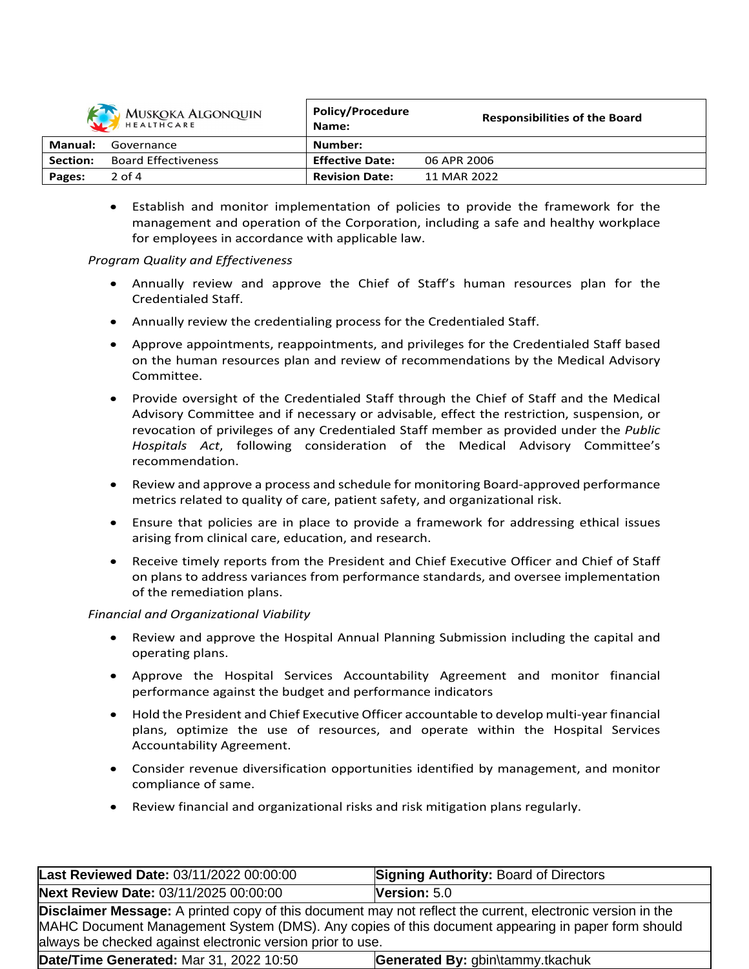

| MUSKOKA ALGONQUIN<br>HEALTHCARE |                            | POIICV/Procedure<br>Name: | <b>Responsibilities of the Board</b> |
|---------------------------------|----------------------------|---------------------------|--------------------------------------|
| Manual:                         | Governance                 | Number:                   |                                      |
| Section:                        | <b>Board Effectiveness</b> | <b>Effective Date:</b>    | 06 APR 2006                          |
| Pages:                          | $2$ of $4$                 | <b>Revision Date:</b>     | 11 MAR 2022                          |

**Policy/Procedure**

 Establish and monitor implementation of policies to provide the framework for the management and operation of the Corporation, including a safe and healthy workplace for employees in accordance with applicable law.

## *Program Quality and Effectiveness*

- Annually review and approve the Chief of Staff's human resources plan for the Credentialed Staff.
- Annually review the credentialing process for the Credentialed Staff.
- Approve appointments, reappointments, and privileges for the Credentialed Staff based on the human resources plan and review of recommendations by the Medical Advisory Committee.
- Provide oversight of the Credentialed Staff through the Chief of Staff and the Medical Advisory Committee and if necessary or advisable, effect the restriction, suspension, or revocation of privileges of any Credentialed Staff member as provided under the *Public Hospitals Act*, following consideration of the Medical Advisory Committee's recommendation.
- Review and approve a process and schedule for monitoring Board-approved performance metrics related to quality of care, patient safety, and organizational risk.
- Ensure that policies are in place to provide a framework for addressing ethical issues arising from clinical care, education, and research.
- Receive timely reports from the President and Chief Executive Officer and Chief of Staff on plans to address variances from performance standards, and oversee implementation of the remediation plans.

# *Financial and Organizational Viability*

- Review and approve the Hospital Annual Planning Submission including the capital and operating plans.
- Approve the Hospital Services Accountability Agreement and monitor financial performance against the budget and performance indicators
- Hold the President and Chief Executive Officer accountable to develop multi-year financial plans, optimize the use of resources, and operate within the Hospital Services Accountability Agreement.
- Consider revenue diversification opportunities identified by management, and monitor compliance of same.
- Review financial and organizational risks and risk mitigation plans regularly.

| Last Reviewed Date: 03/11/2022 00:00:00                                                                                                                                                                                                                                              | <b>Signing Authority: Board of Directors</b> |  |
|--------------------------------------------------------------------------------------------------------------------------------------------------------------------------------------------------------------------------------------------------------------------------------------|----------------------------------------------|--|
| Next Review Date: 03/11/2025 00:00:00                                                                                                                                                                                                                                                | Version: $5.0$                               |  |
| <b>Disclaimer Message:</b> A printed copy of this document may not reflect the current, electronic version in the<br>MAHC Document Management System (DMS). Any copies of this document appearing in paper form should<br>always be checked against electronic version prior to use. |                                              |  |
| Date/Time Generated: Mar 31, 2022 10:50<br>Generated By: gbin\tammy.tkachuk                                                                                                                                                                                                          |                                              |  |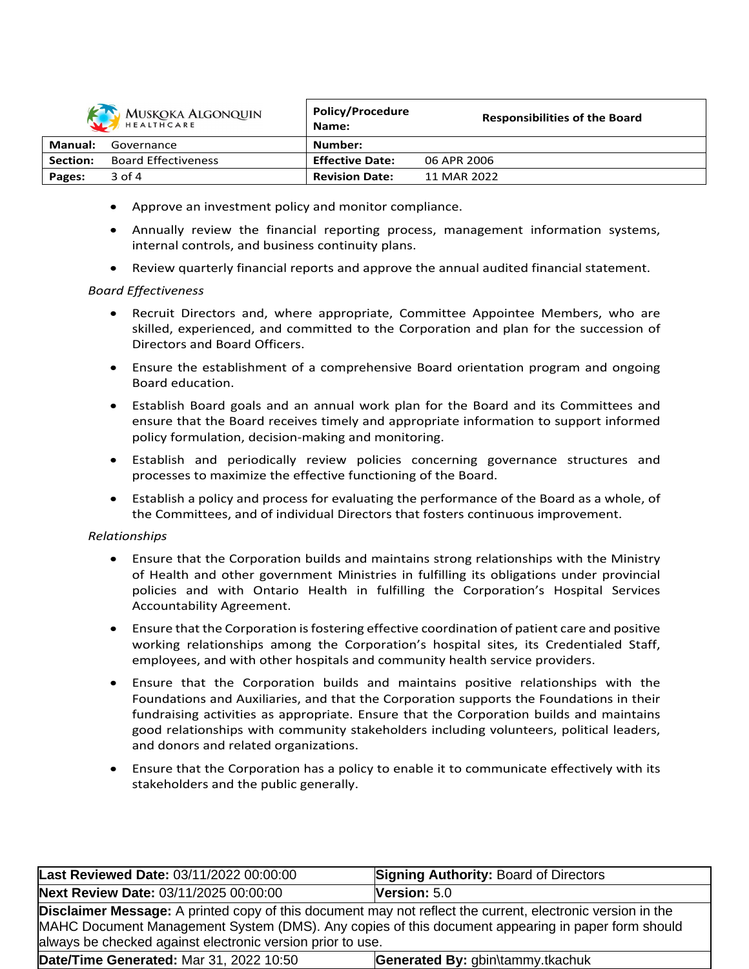

| MUSKOKA ALGONQUIN<br>HEALTHCARE |                            | <b>POIICY/Procedure</b><br>Name: | <b>Responsibilities of the Board</b> |
|---------------------------------|----------------------------|----------------------------------|--------------------------------------|
| Manual:                         | Governance                 | Number:                          |                                      |
| Section:                        | <b>Board Effectiveness</b> | <b>Effective Date:</b>           | 06 APR 2006                          |
| Pages:                          | 3 of 4                     | <b>Revision Date:</b>            | 11 MAR 2022                          |

**Policy/Procedure**

- Approve an investment policy and monitor compliance.
- Annually review the financial reporting process, management information systems, internal controls, and business continuity plans.
- Review quarterly financial reports and approve the annual audited financial statement.

## *Board Effectiveness*

- Recruit Directors and, where appropriate, Committee Appointee Members, who are skilled, experienced, and committed to the Corporation and plan for the succession of Directors and Board Officers.
- Ensure the establishment of a comprehensive Board orientation program and ongoing Board education.
- Establish Board goals and an annual work plan for the Board and its Committees and ensure that the Board receives timely and appropriate information to support informed policy formulation, decision-making and monitoring.
- Establish and periodically review policies concerning governance structures and processes to maximize the effective functioning of the Board.
- Establish a policy and process for evaluating the performance of the Board as a whole, of the Committees, and of individual Directors that fosters continuous improvement.

#### *Relationships*

- Ensure that the Corporation builds and maintains strong relationships with the Ministry of Health and other government Ministries in fulfilling its obligations under provincial policies and with Ontario Health in fulfilling the Corporation's Hospital Services Accountability Agreement.
- Ensure that the Corporation isfostering effective coordination of patient care and positive working relationships among the Corporation's hospital sites, its Credentialed Staff, employees, and with other hospitals and community health service providers.
- Ensure that the Corporation builds and maintains positive relationships with the Foundations and Auxiliaries, and that the Corporation supports the Foundations in their fundraising activities as appropriate. Ensure that the Corporation builds and maintains good relationships with community stakeholders including volunteers, political leaders, and donors and related organizations.
- Ensure that the Corporation has a policy to enable it to communicate effectively with its stakeholders and the public generally.

| Last Reviewed Date: 03/11/2022 00:00:00                                                                                                                                                                                                                                              | <b>Signing Authority: Board of Directors</b> |  |
|--------------------------------------------------------------------------------------------------------------------------------------------------------------------------------------------------------------------------------------------------------------------------------------|----------------------------------------------|--|
| Next Review Date: 03/11/2025 00:00:00                                                                                                                                                                                                                                                | Version: $5.0$                               |  |
| <b>Disclaimer Message:</b> A printed copy of this document may not reflect the current, electronic version in the<br>MAHC Document Management System (DMS). Any copies of this document appearing in paper form should<br>always be checked against electronic version prior to use. |                                              |  |
| Date/Time Generated: Mar 31, 2022 10:50                                                                                                                                                                                                                                              | Generated By: gbin\tammy.tkachuk             |  |